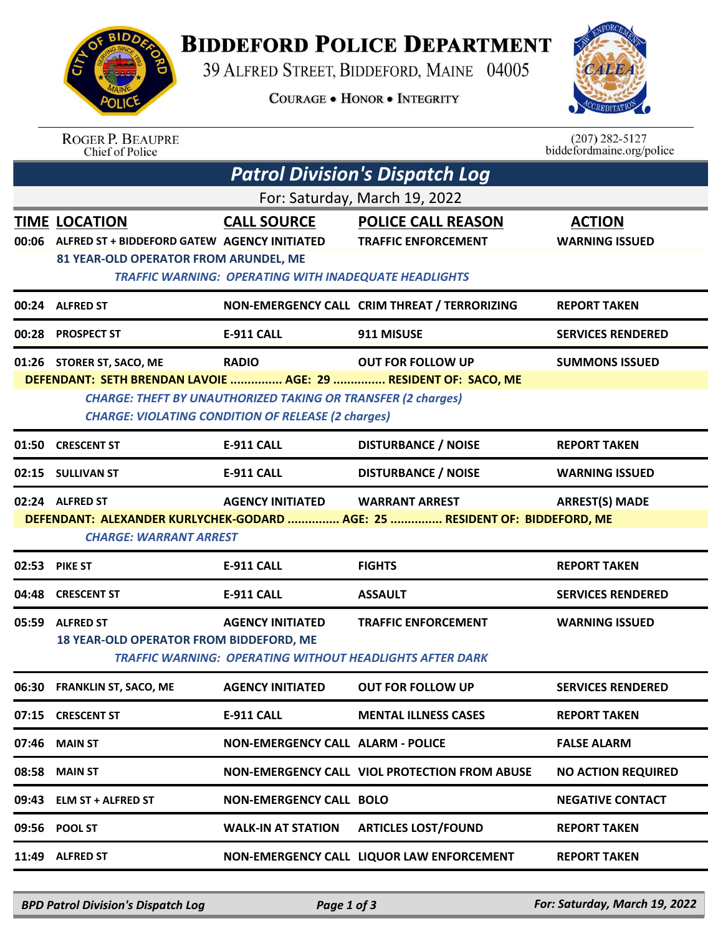

## **BIDDEFORD POLICE DEPARTMENT**

39 ALFRED STREET, BIDDEFORD, MAINE 04005

**COURAGE . HONOR . INTEGRITY** 



ROGER P. BEAUPRE<br>Chief of Police

 $(207)$  282-5127<br>biddefordmaine.org/police

| <b>Patrol Division's Dispatch Log</b>                                                                                                                                                                                                                                                                |                           |                                                                                                                                         |                                                                                                                                                                                                                                                                                                         |  |
|------------------------------------------------------------------------------------------------------------------------------------------------------------------------------------------------------------------------------------------------------------------------------------------------------|---------------------------|-----------------------------------------------------------------------------------------------------------------------------------------|---------------------------------------------------------------------------------------------------------------------------------------------------------------------------------------------------------------------------------------------------------------------------------------------------------|--|
| For: Saturday, March 19, 2022                                                                                                                                                                                                                                                                        |                           |                                                                                                                                         |                                                                                                                                                                                                                                                                                                         |  |
| <b>TIME LOCATION</b>                                                                                                                                                                                                                                                                                 | <b>CALL SOURCE</b>        | <b>POLICE CALL REASON</b><br><b>TRAFFIC ENFORCEMENT</b>                                                                                 | <b>ACTION</b><br><b>WARNING ISSUED</b>                                                                                                                                                                                                                                                                  |  |
| 00:24 ALFRED ST                                                                                                                                                                                                                                                                                      |                           |                                                                                                                                         | <b>REPORT TAKEN</b>                                                                                                                                                                                                                                                                                     |  |
| <b>PROSPECT ST</b>                                                                                                                                                                                                                                                                                   | E-911 CALL                | 911 MISUSE                                                                                                                              | <b>SERVICES RENDERED</b>                                                                                                                                                                                                                                                                                |  |
| <b>RADIO</b><br><b>OUT FOR FOLLOW UP</b><br><b>SUMMONS ISSUED</b><br>01:26 STORER ST, SACO, ME<br>DEFENDANT: SETH BRENDAN LAVOIE  AGE: 29  RESIDENT OF: SACO, ME<br><b>CHARGE: THEFT BY UNAUTHORIZED TAKING OR TRANSFER (2 charges)</b><br><b>CHARGE: VIOLATING CONDITION OF RELEASE (2 charges)</b> |                           |                                                                                                                                         |                                                                                                                                                                                                                                                                                                         |  |
| <b>CRESCENT ST</b><br>01:50                                                                                                                                                                                                                                                                          | <b>E-911 CALL</b>         | <b>DISTURBANCE / NOISE</b>                                                                                                              | <b>REPORT TAKEN</b>                                                                                                                                                                                                                                                                                     |  |
| 02:15 SULLIVAN ST                                                                                                                                                                                                                                                                                    | <b>E-911 CALL</b>         | <b>DISTURBANCE / NOISE</b>                                                                                                              | <b>WARNING ISSUED</b>                                                                                                                                                                                                                                                                                   |  |
| <b>AGENCY INITIATED</b><br><b>WARRANT ARREST</b><br><b>ARREST(S) MADE</b><br>02:24 ALFRED ST<br>DEFENDANT: ALEXANDER KURLYCHEK-GODARD  AGE: 25  RESIDENT OF: BIDDEFORD, ME<br><b>CHARGE: WARRANT ARREST</b>                                                                                          |                           |                                                                                                                                         |                                                                                                                                                                                                                                                                                                         |  |
| <b>PIKE ST</b>                                                                                                                                                                                                                                                                                       | <b>E-911 CALL</b>         | <b>FIGHTS</b>                                                                                                                           | <b>REPORT TAKEN</b>                                                                                                                                                                                                                                                                                     |  |
| <b>CRESCENT ST</b>                                                                                                                                                                                                                                                                                   | <b>E-911 CALL</b>         | <b>ASSAULT</b>                                                                                                                          | <b>SERVICES RENDERED</b>                                                                                                                                                                                                                                                                                |  |
| 05:59 ALFRED ST                                                                                                                                                                                                                                                                                      | <b>AGENCY INITIATED</b>   | <b>TRAFFIC ENFORCEMENT</b>                                                                                                              | <b>WARNING ISSUED</b>                                                                                                                                                                                                                                                                                   |  |
| <b>FRANKLIN ST, SACO, ME</b>                                                                                                                                                                                                                                                                         | <b>AGENCY INITIATED</b>   | <b>OUT FOR FOLLOW UP</b>                                                                                                                | <b>SERVICES RENDERED</b>                                                                                                                                                                                                                                                                                |  |
| 07:15 CRESCENT ST                                                                                                                                                                                                                                                                                    | <b>E-911 CALL</b>         | <b>MENTAL ILLNESS CASES</b>                                                                                                             | <b>REPORT TAKEN</b>                                                                                                                                                                                                                                                                                     |  |
| 07:46 MAIN ST                                                                                                                                                                                                                                                                                        |                           |                                                                                                                                         | <b>FALSE ALARM</b>                                                                                                                                                                                                                                                                                      |  |
| <b>MAIN ST</b>                                                                                                                                                                                                                                                                                       |                           |                                                                                                                                         | <b>NO ACTION REQUIRED</b>                                                                                                                                                                                                                                                                               |  |
| 09:43 ELM ST + ALFRED ST                                                                                                                                                                                                                                                                             |                           |                                                                                                                                         | <b>NEGATIVE CONTACT</b>                                                                                                                                                                                                                                                                                 |  |
| 09:56 POOL ST                                                                                                                                                                                                                                                                                        | <b>WALK-IN AT STATION</b> | <b>ARTICLES LOST/FOUND</b>                                                                                                              | <b>REPORT TAKEN</b>                                                                                                                                                                                                                                                                                     |  |
|                                                                                                                                                                                                                                                                                                      |                           |                                                                                                                                         |                                                                                                                                                                                                                                                                                                         |  |
|                                                                                                                                                                                                                                                                                                      |                           | ALFRED ST + BIDDEFORD GATEW AGENCY INITIATED<br>81 YEAR-OLD OPERATOR FROM ARUNDEL, ME<br><b>18 YEAR-OLD OPERATOR FROM BIDDEFORD, ME</b> | <b>TRAFFIC WARNING: OPERATING WITH INADEQUATE HEADLIGHTS</b><br>NON-EMERGENCY CALL CRIM THREAT / TERRORIZING<br><b>TRAFFIC WARNING: OPERATING WITHOUT HEADLIGHTS AFTER DARK</b><br>NON-EMERGENCY CALL ALARM - POLICE<br>NON-EMERGENCY CALL VIOL PROTECTION FROM ABUSE<br><b>NON-EMERGENCY CALL BOLO</b> |  |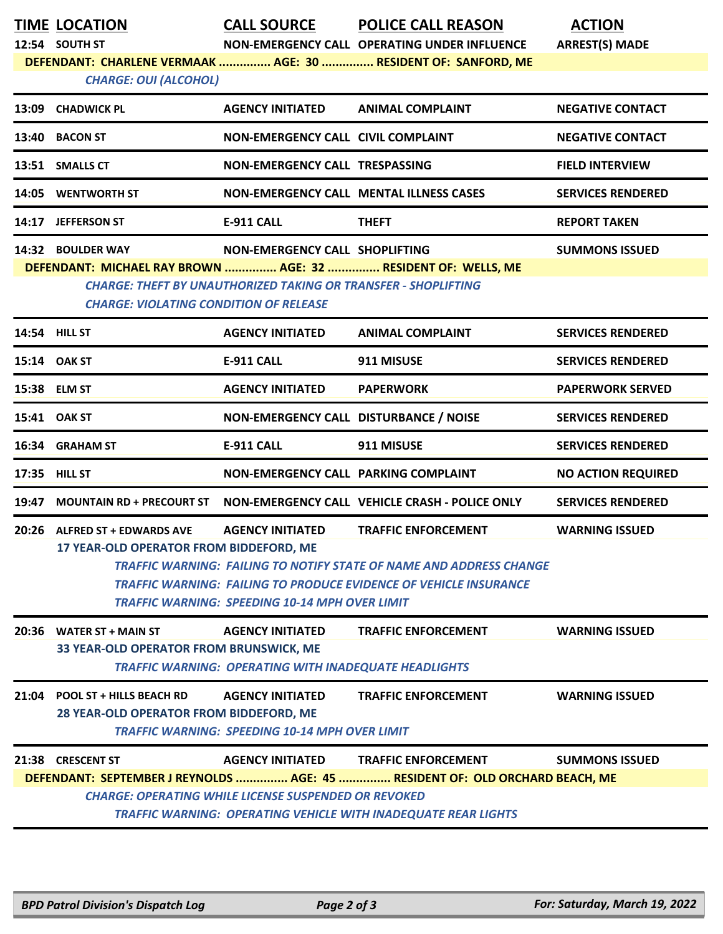| TIME LOCATION |
|---------------|
|               |

**TIME LOCATION CALL SOURCE POLICE CALL REASON ACTION**

**12:54 SOUTH ST NON-EMERGENCY CALL OPERATING UNDER INFLUENCE ARREST(S) MADE DEFENDANT: CHARLENE VERMAAK ............... AGE: 30 ............... RESIDENT OF: SANFORD, ME**

*CHARGE: OUI (ALCOHOL)* 

|                                                               | CHANGE. OUT TALCOTIOL!                                                |                                    |                                                |                          |  |
|---------------------------------------------------------------|-----------------------------------------------------------------------|------------------------------------|------------------------------------------------|--------------------------|--|
| 13:09                                                         | <b>CHADWICK PL</b>                                                    | <b>AGENCY INITIATED</b>            | <b>ANIMAL COMPLAINT</b>                        | <b>NEGATIVE CONTACT</b>  |  |
| 13:40                                                         | <b>BACON ST</b>                                                       | NON-EMERGENCY CALL CIVIL COMPLAINT |                                                | <b>NEGATIVE CONTACT</b>  |  |
| 13:51                                                         | <b>SMALLS CT</b>                                                      | NON-EMERGENCY CALL TRESPASSING     |                                                | <b>FIELD INTERVIEW</b>   |  |
| 14:05                                                         | <b>WENTWORTH ST</b>                                                   |                                    | <b>NON-EMERGENCY CALL MENTAL ILLNESS CASES</b> | <b>SERVICES RENDERED</b> |  |
| 14:17                                                         | <b>JEFFERSON ST</b>                                                   | <b>E-911 CALL</b>                  | <b>THEFT</b>                                   | <b>REPORT TAKEN</b>      |  |
|                                                               | 14:32 BOULDER WAY                                                     | NON-EMERGENCY CALL SHOPLIFTING     |                                                | <b>SUMMONS ISSUED</b>    |  |
| DEFENDANT: MICHAEL RAY BROWN  AGE: 32  RESIDENT OF: WELLS, ME |                                                                       |                                    |                                                |                          |  |
|                                                               | <b>CHARGE: THEFT BY UNAUTHORIZED TAKING OR TRANSFER - SHOPLIFTING</b> |                                    |                                                |                          |  |
|                                                               | <b>CHARGE: VIOLATING CONDITION OF RELEASE</b>                         |                                    |                                                |                          |  |
|                                                               |                                                                       |                                    |                                                |                          |  |

|       | <b>14:54 HILL ST</b>                                                             | <b>AGENCY INITIATED</b>                                                                 | <b>ANIMAL COMPLAINT</b>                                                                                                                                                              | <b>SERVICES RENDERED</b>  |
|-------|----------------------------------------------------------------------------------|-----------------------------------------------------------------------------------------|--------------------------------------------------------------------------------------------------------------------------------------------------------------------------------------|---------------------------|
|       | 15:14 OAK ST                                                                     | <b>E-911 CALL</b>                                                                       | 911 MISUSE                                                                                                                                                                           | <b>SERVICES RENDERED</b>  |
|       | 15:38 ELM ST                                                                     | <b>AGENCY INITIATED</b>                                                                 | <b>PAPERWORK</b>                                                                                                                                                                     | <b>PAPERWORK SERVED</b>   |
|       | 15:41 OAK ST                                                                     | NON-EMERGENCY CALL DISTURBANCE / NOISE                                                  |                                                                                                                                                                                      | <b>SERVICES RENDERED</b>  |
|       | 16:34 GRAHAM ST                                                                  | <b>E-911 CALL</b>                                                                       | 911 MISUSE                                                                                                                                                                           | <b>SERVICES RENDERED</b>  |
|       | 17:35 HILL ST                                                                    | NON-EMERGENCY CALL PARKING COMPLAINT                                                    |                                                                                                                                                                                      | <b>NO ACTION REQUIRED</b> |
| 19:47 | <b>MOUNTAIN RD + PRECOURT ST</b>                                                 |                                                                                         | NON-EMERGENCY CALL VEHICLE CRASH - POLICE ONLY                                                                                                                                       | <b>SERVICES RENDERED</b>  |
|       | 20:26 ALFRED ST + EDWARDS AVE<br><b>17 YEAR-OLD OPERATOR FROM BIDDEFORD, ME</b>  | <b>AGENCY INITIATED</b><br><b>TRAFFIC WARNING: SPEEDING 10-14 MPH OVER LIMIT</b>        | <b>TRAFFIC ENFORCEMENT</b><br><b>TRAFFIC WARNING: FAILING TO NOTIFY STATE OF NAME AND ADDRESS CHANGE</b><br><b>TRAFFIC WARNING: FAILING TO PRODUCE EVIDENCE OF VEHICLE INSURANCE</b> | <b>WARNING ISSUED</b>     |
|       |                                                                                  |                                                                                         |                                                                                                                                                                                      |                           |
|       | 20:36 WATER ST + MAIN ST<br>33 YEAR-OLD OPERATOR FROM BRUNSWICK, ME              | <b>AGENCY INITIATED</b><br><b>TRAFFIC WARNING: OPERATING WITH INADEQUATE HEADLIGHTS</b> | <b>TRAFFIC ENFORCEMENT</b>                                                                                                                                                           | <b>WARNING ISSUED</b>     |
|       | 21:04 POOL ST + HILLS BEACH RD<br><b>28 YEAR-OLD OPERATOR FROM BIDDEFORD, ME</b> | <b>AGENCY INITIATED</b><br><b>TRAFFIC WARNING: SPEEDING 10-14 MPH OVER LIMIT</b>        | <b>TRAFFIC ENFORCEMENT</b>                                                                                                                                                           | <b>WARNING ISSUED</b>     |
|       | 21:38 CRESCENT ST                                                                |                                                                                         | AGENCY INITIATED TRAFFIC ENFORCEMENT<br>DEFENDANT: SEPTEMBER J REYNOLDS  AGE: 45  RESIDENT OF: OLD ORCHARD BEACH, ME                                                                 | <b>SUMMONS ISSUED</b>     |